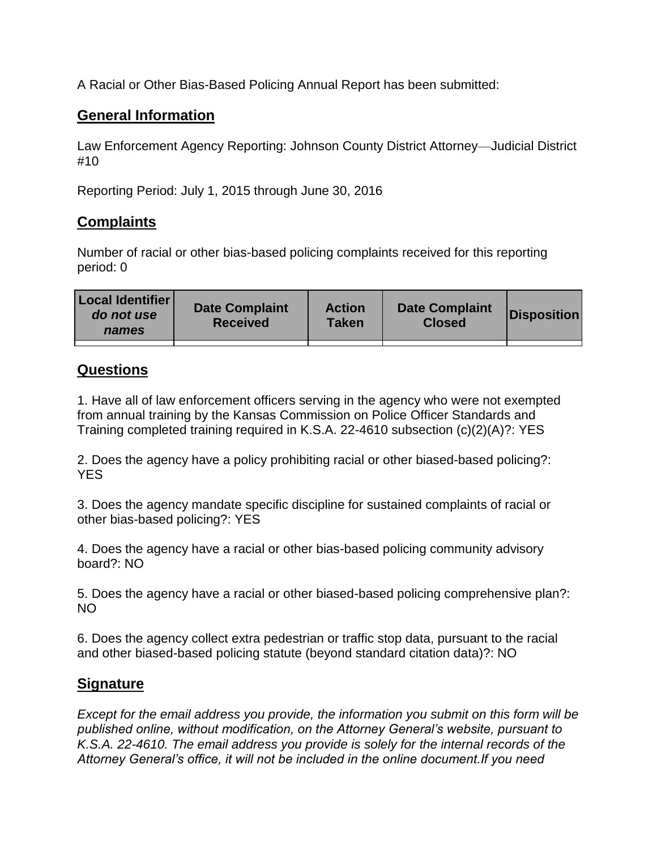A Racial or Other Bias-Based Policing Annual Report has been submitted:

## **General Information**

Law Enforcement Agency Reporting: Johnson County District Attorney—Judicial District #10

Reporting Period: July 1, 2015 through June 30, 2016

## **Complaints**

Number of racial or other bias-based policing complaints received for this reporting period: 0

## **Questions**

1. Have all of law enforcement officers serving in the agency who were not exempted from annual training by the Kansas Commission on Police Officer Standards and Training completed training required in K.S.A. 22-4610 subsection (c)(2)(A)?: YES

2. Does the agency have a policy prohibiting racial or other biased-based policing?: YES

3. Does the agency mandate specific discipline for sustained complaints of racial or other bias-based policing?: YES

4. Does the agency have a racial or other bias-based policing community advisory board?: NO

5. Does the agency have a racial or other biased-based policing comprehensive plan?: NO

6. Does the agency collect extra pedestrian or traffic stop data, pursuant to the racial and other biased-based policing statute (beyond standard citation data)?: NO

## **Signature**

*Except for the email address you provide, the information you submit on this form will be published online, without modification, on the Attorney General's website, pursuant to K.S.A. 22-4610. The email address you provide is solely for the internal records of the Attorney General's office, it will not be included in the online document.If you need*